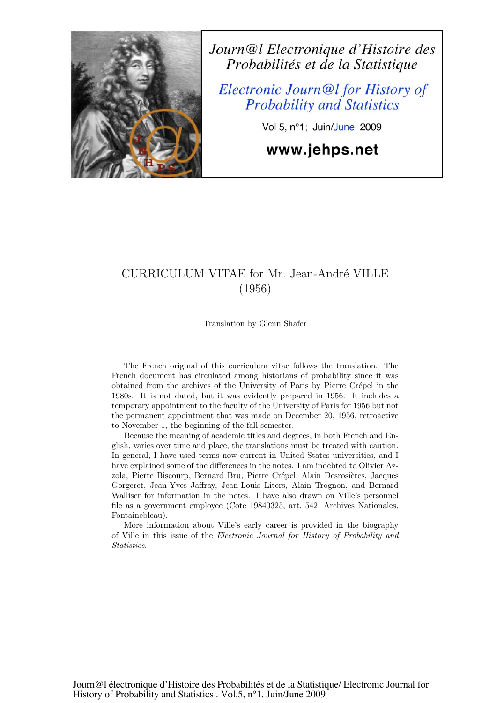

Journ@l Electronique d'Histoire des Probabilités et de la Statistique

Electronic Journ@l for History of **Probability and Statistics** 

Vol 5, n°1; Juin/June 2009

www.jehps.net

# CURRICULUM VITAE for Mr. Jean-André VILLE (1956)

Translation by Glenn Shafer

The French original of this curriculum vitae follows the translation. The French document has circulated among historians of probability since it was obtained from the archives of the University of Paris by Pierre Crépel in the 1980s. It is not dated, but it was evidently prepared in 1956. It includes a temporary appointment to the faculty of the University of Paris for 1956 but not the permanent appointment that was made on December 20, 1956, retroactive to November 1, the beginning of the fall semester.

Because the meaning of academic titles and degrees, in both French and English, varies over time and place, the translations must be treated with caution. In general, I have used terms now current in United States universities, and I have explained some of the differences in the notes. I am indebted to Olivier Azzola, Pierre Biscourp, Bernard Bru, Pierre Crépel, Alain Desrosières, Jacques Gorgeret, Jean-Yves Jaffray, Jean-Louis Liters, Alain Trognon, and Bernard Walliser for information in the notes. I have also drawn on Ville's personnel file as a government employee (Cote 19840325, art. 542, Archives Nationales, Fontainebleau).

More information about Ville's early career is provided in the biography of Ville in this issue of the Electronic Journal for History of Probability and Statistics.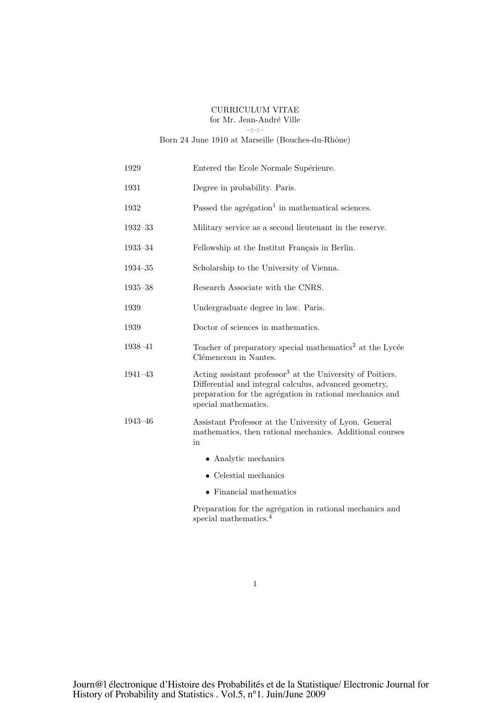### CURRICULUM VITAE for Mr. Jean-André Ville

–:–:–

### Born 24 June 1910 at Marseille (Bouches-du-Rhône)

| 1929        | Entered the Ecole Normale Supérieure.                                                                                                                                                                                |
|-------------|----------------------------------------------------------------------------------------------------------------------------------------------------------------------------------------------------------------------|
| 1931        | Degree in probability. Paris.                                                                                                                                                                                        |
| 1932        | Passed the agrégation <sup>1</sup> in mathematical sciences.                                                                                                                                                         |
| $1932 - 33$ | Military service as a second lieutenant in the reserve.                                                                                                                                                              |
| $1933 - 34$ | Fellowship at the Institut Français in Berlin.                                                                                                                                                                       |
| $1934 - 35$ | Scholarship to the University of Vienna.                                                                                                                                                                             |
| $1935 - 38$ | Research Associate with the CNRS.                                                                                                                                                                                    |
| 1939        | Undergraduate degree in law. Paris.                                                                                                                                                                                  |
| 1939        | Doctor of sciences in mathematics.                                                                                                                                                                                   |
| 1938-41     | Teacher of preparatory special mathematics <sup>2</sup> at the Lycée<br>Clémenceau in Nantes.                                                                                                                        |
| $1941 - 43$ | Acting assistant professor <sup>3</sup> at the University of Poitiers.<br>Differential and integral calculus, advanced geometry,<br>preparation for the agrégation in rational mechanics and<br>special mathematics. |
| $1943 - 46$ | Assistant Professor at the University of Lyon. General<br>mathematics, then rational mechanics. Additional courses<br>in                                                                                             |
|             | • Analytic mechanics                                                                                                                                                                                                 |
|             | Celestial mechanics                                                                                                                                                                                                  |

• Financial mathematics

Preparation for the agrégation in rational mechanics and special mathematics.<sup>4</sup>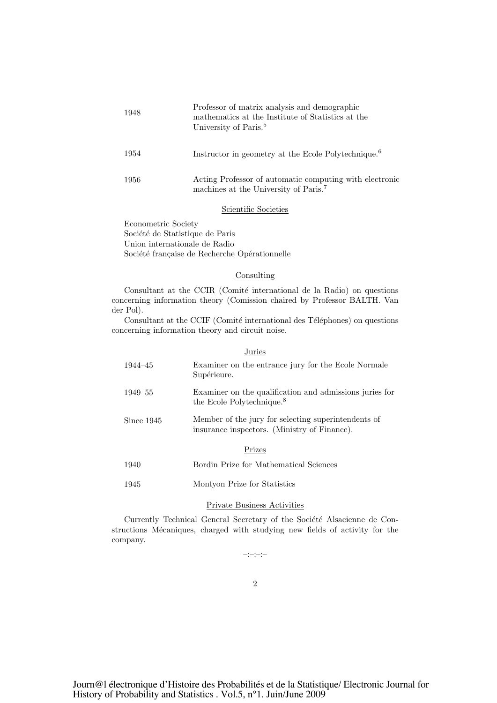| 1948 | Professor of matrix analysis and demographic<br>mathematics at the Institute of Statistics at the<br>University of Paris. <sup>5</sup> |
|------|----------------------------------------------------------------------------------------------------------------------------------------|
| 1954 | Instructor in geometry at the Ecole Polytechnique. <sup>6</sup>                                                                        |
| 1956 | Acting Professor of automatic computing with electronic<br>machines at the University of Paris. <sup>7</sup>                           |

### Scientific Societies

Econometric Society Société de Statistique de Paris Union internationale de Radio Société française de Recherche Opérationnelle

### Consulting

Consultant at the CCIR (Comité international de la Radio) on questions concerning information theory (Comission chaired by Professor BALTH. Van der Pol).

Consultant at the CCIF (Comité international des Téléphones) on questions concerning information theory and circuit noise.

### Juries

| $1944 - 45$ | Examiner on the entrance jury for the Ecole Normale<br>Supérieure.                                  |  |
|-------------|-----------------------------------------------------------------------------------------------------|--|
| $1949 - 55$ | Examiner on the qualification and admissions juries for<br>the Ecole Polytechnique. <sup>8</sup>    |  |
| Since 1945  | Member of the jury for selecting superintendents of<br>insurance inspectors. (Ministry of Finance). |  |
| Prizes      |                                                                                                     |  |
| 1940        | Bordin Prize for Mathematical Sciences                                                              |  |

- 
- 1945 Montyon Prize for Statistics

### Private Business Activities

Currently Technical General Secretary of the Société Alsacienne de Constructions Mécaniques, charged with studying new fields of activity for the company.

–:–:–:–

2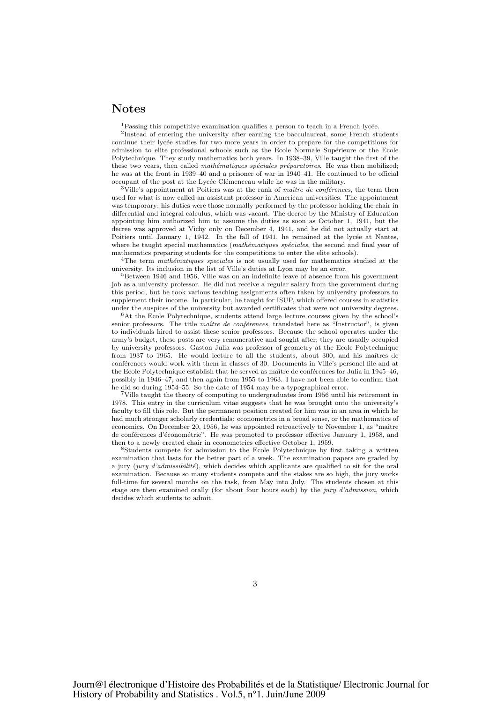# Notes

<sup>1</sup>Passing this competitive examination qualifies a person to teach in a French lycée.

<sup>2</sup>Instead of entering the university after earning the bacculaureat, some French students continue their lycée studies for two more years in order to prepare for the competitions for admission to elite professional schools such as the Ecole Normale Supérieure or the Ecole Polytechnique. They study mathematics both years. In 1938–39, Ville taught the first of the these two years, then called *mathématiques spéciales préparatoires*. He was then mobilized; he was at the front in 1939–40 and a prisoner of war in 1940–41. He continued to be official occupant of the post at the Lycée Clémenceau while he was in the military.

 $3$ Ville's appointment at Poitiers was at the rank of maître de conferences, the term then used for what is now called an assistant professor in American universities. The appointment was temporary; his duties were those normally performed by the professor holding the chair in differential and integral calculus, which was vacant. The decree by the Ministry of Education appointing him authorized him to assume the duties as soon as October 1, 1941, but the decree was approved at Vichy only on December 4, 1941, and he did not actually start at Poitiers until January 1, 1942. In the fall of 1941, he remained at the lycée at Nantes, where he taught special mathematics (mathématiques spéciales, the second and final year of mathematics preparing students for the competitions to enter the elite schools).

<sup>4</sup>The term *mathématiques speciales* is not usually used for mathematics studied at the university. Its inclusion in the list of Ville's duties at Lyon may be an error.

<sup>5</sup>Between 1946 and 1956, Ville was on an indefinite leave of absence from his government job as a university professor. He did not receive a regular salary from the government during this period, but he took various teaching assignments often taken by university professors to supplement their income. In particular, he taught for ISUP, which offered courses in statistics under the auspices of the university but awarded certificates that were not university degrees.

 $6$ At the Ecole Polytechnique, students attend large lecture courses given by the school's senior professors. The title maître de conférences, translated here as "Instructor", is given to individuals hired to assist these senior professors. Because the school operates under the army's budget, these posts are very remunerative and sought after; they are usually occupied by university professors. Gaston Julia was professor of geometry at the Ecole Polytechnique from 1937 to 1965. He would lecture to all the students, about 300, and his maîtres de conférences would work with them in classes of 30. Documents in Ville's personel file and at the Ecole Polytechnique establish that he served as maître de conférences for Julia in  $1945-46$ , possibly in 1946–47, and then again from 1955 to 1963. I have not been able to confirm that he did so during 1954–55. So the date of 1954 may be a typographical error.

<sup>7</sup>Ville taught the theory of computing to undergraduates from 1956 until his retirement in 1978. This entry in the curriculum vitae suggests that he was brought onto the university's faculty to fill this role. But the permanent position created for him was in an area in which he had much stronger scholarly credentials: econometrics in a broad sense, or the mathematics of economics. On December 20, 1956, he was appointed retroactively to November 1, as "maître de conférences d'économétrie". He was promoted to professor effective January 1, 1958, and then to a newly created chair in econometrics effective October 1, 1959.

<sup>8</sup>Students compete for admission to the Ecole Polytechnique by first taking a written examination that lasts for the better part of a week. The examination papers are graded by a jury  $(iury\ d'admissible)$ , which decides which applicants are qualified to sit for the oral examination. Because so many students compete and the stakes are so high, the jury works full-time for several months on the task, from May into July. The students chosen at this stage are then examined orally (for about four hours each) by the jury d'admission, which decides which students to admit.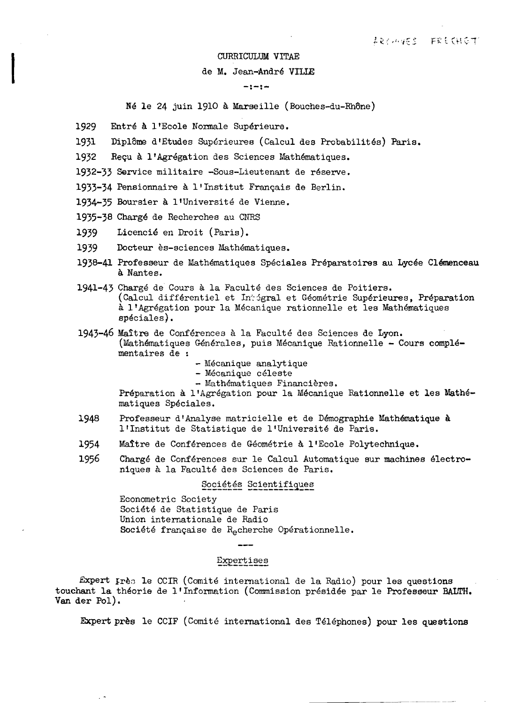# CURRICULUM VITAE<br>de M. Jean-André VII<br>-:-:de M. Jean-Andre VILLE

### **-:-:**

Né le 24 juin 1910 à Marseille (Bouches-du-Rhône)

- 1929 Entré à l'Ecole Normale Supérieure.
- 1931 Diplôme d'Etudes Supérieures (Calcul des Probabilités) Paris.

1932 Recu à l'Agrégation des Sciences Mathématiques.

1932-33 Service militaire -Sous-Lieutenant de reserve.

1933-34 Pensionnaire à l'Institut Français de Berlin.

1934-35 Boursier a l'Universite de Vienne.

1935-38 Charge de Recherches au CNRS

1939 Licencie en Droit (Paris).

 $\ddot{\phantom{1}}$ 

- 1939 Docteur ès-sciences Mathématiques.
- 1938-41 Professeur de Mathématiques Spéciales Préparatoires au Lycée Clémenceau a. Nantes.
- 1941-43 Charge de Cours a la Faculte des Sciences de Poitiers. (Calcul différentiel et In Sgral et Géométrie Supérieures, Préparation à l'Agrégation pour la Mécanique rationnelle et les Mathématiques speciales).
- 1943-46 Maitre de Conferences a la Faculte des Sciences de Lyon. (Mathématiques Générales, puis Mécanique Rationnelle - Cours complémentaires de :
	- Mécanique analytique<br>- Mécanique céleste
	-
	- Mathématiques Financières.

Préparation à l'Agrégation pour la Mécanique Rationnelle et les Mathématiques Speciales.

- 1948 Professeur d'Analyse matricielle et de Démographie Mathématique à l'Institut de Statistique de l'Université de Paris.
- 1954 Maître de Conférences de Géométrie à l'Ecole Polytechnique.
- 1956 Chargé de Conférences sur le Calcul Automatique sur machines électroniques à la Faculté des Sciences de Paris.

### Sociétés Scientifiques

Econometric Society Société de Statistique de Paris Union internationale de Radio Société française de Recherche Opérationnelle.

### Expertises

 $Expert$   $Irr$ es le CCIR (Comité international de la Radio) pour les questions touchant la theorie de l'Information (Commission presidee par Ie Professeur BALTH. Van der Pol).

Expert près le CCIF (Comité international des Téléphones) pour les questions